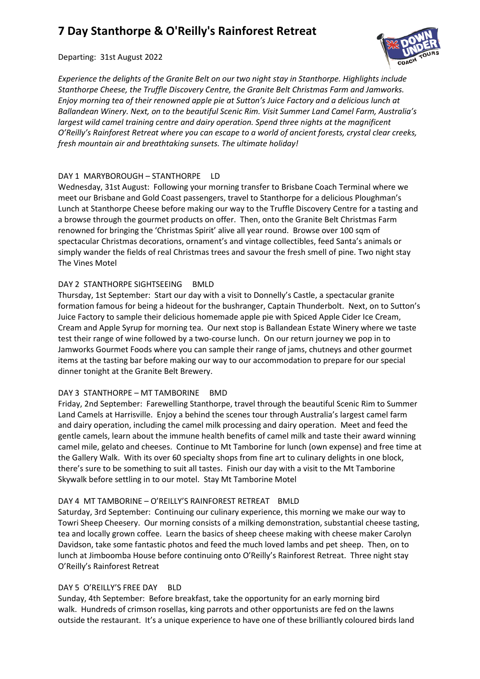# **7 Day Stanthorpe & O'Reilly's Rainforest Retreat**

Departing: 31st August 2022

*Experience the delights of the Granite Belt on our two night stay in Stanthorpe. Highlights include Stanthorpe Cheese, the Truffle Discovery Centre, the Granite Belt Christmas Farm and Jamworks. Enjoy morning tea of their renowned apple pie at Sutton's Juice Factory and a delicious lunch at Ballandean Winery. Next, on to the beautiful Scenic Rim. Visit Summer Land Camel Farm, Australia's largest wild camel training centre and dairy operation. Spend three nights at the magnificent O'Reilly's Rainforest Retreat where you can escape to a world of ancient forests, crystal clear creeks, fresh mountain air and breathtaking sunsets. The ultimate holiday!*

## DAY 1 MARYBOROUGH – STANTHORPE LD

Wednesday, 31st August: Following your morning transfer to Brisbane Coach Terminal where we meet our Brisbane and Gold Coast passengers, travel to Stanthorpe for a delicious Ploughman's Lunch at Stanthorpe Cheese before making our way to the Truffle Discovery Centre for a tasting and a browse through the gourmet products on offer. Then, onto the Granite Belt Christmas Farm renowned for bringing the 'Christmas Spirit' alive all year round. Browse over 100 sqm of spectacular Christmas decorations, ornament's and vintage collectibles, feed Santa's animals or simply wander the fields of real Christmas trees and savour the fresh smell of pine. Two night stay The Vines Motel

## DAY 2 STANTHORPE SIGHTSEEING BMLD

Thursday, 1st September: Start our day with a visit to Donnelly's Castle, a spectacular granite formation famous for being a hideout for the bushranger, Captain Thunderbolt. Next, on to Sutton's Juice Factory to sample their delicious homemade apple pie with Spiced Apple Cider Ice Cream, Cream and Apple Syrup for morning tea. Our next stop is Ballandean Estate Winery where we taste test their range of wine followed by a two-course lunch. On our return journey we pop in to Jamworks Gourmet Foods where you can sample their range of jams, chutneys and other gourmet items at the tasting bar before making our way to our accommodation to prepare for our special dinner tonight at the Granite Belt Brewery.

## DAY 3 STANTHORPE – MT TAMBORINE BMD

Friday, 2nd September: Farewelling Stanthorpe, travel through the beautiful Scenic Rim to Summer Land Camels at Harrisville. Enjoy a behind the scenes tour through Australia's largest camel farm and dairy operation, including the camel milk processing and dairy operation. Meet and feed the gentle camels, learn about the immune health benefits of camel milk and taste their award winning camel mile, gelato and cheeses. Continue to Mt Tamborine for lunch (own expense) and free time at the Gallery Walk. With its over 60 specialty shops from fine art to culinary delights in one block, there's sure to be something to suit all tastes. Finish our day with a visit to the Mt Tamborine Skywalk before settling in to our motel. Stay Mt Tamborine Motel

## DAY 4 MT TAMBORINE – O'REILLY'S RAINFOREST RETREAT BMLD

Saturday, 3rd September: Continuing our culinary experience, this morning we make our way to Towri Sheep Cheesery. Our morning consists of a milking demonstration, substantial cheese tasting, tea and locally grown coffee. Learn the basics of sheep cheese making with cheese maker Carolyn Davidson, take some fantastic photos and feed the much loved lambs and pet sheep. Then, on to lunch at Jimboomba House before continuing onto O'Reilly's Rainforest Retreat. Three night stay O'Reilly's Rainforest Retreat

## DAY 5 O'REILLY'S FREE DAY BLD

Sunday, 4th September: Before breakfast, take the opportunity for an early morning bird walk. Hundreds of crimson rosellas, king parrots and other opportunists are fed on the lawns outside the restaurant. It's a unique experience to have one of these brilliantly coloured birds land